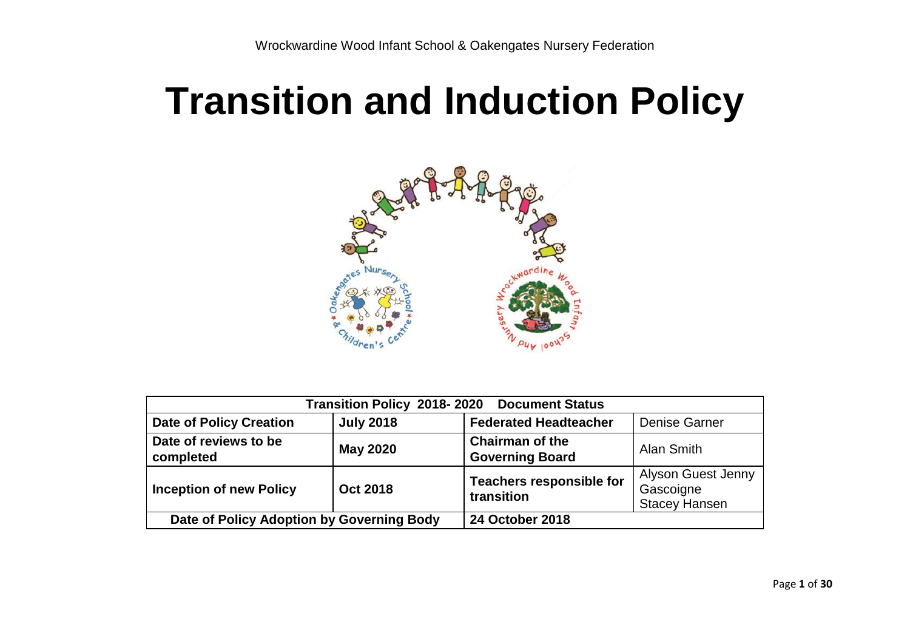# **Transition and Induction Policy**



| <b>Transition Policy 2018-2020</b><br><b>Document Status</b> |                  |                                                  |                                                                |  |  |
|--------------------------------------------------------------|------------------|--------------------------------------------------|----------------------------------------------------------------|--|--|
| <b>Date of Policy Creation</b>                               | <b>July 2018</b> | <b>Federated Headteacher</b>                     | <b>Denise Garner</b>                                           |  |  |
| Date of reviews to be<br>completed                           | <b>May 2020</b>  | <b>Chairman of the</b><br><b>Governing Board</b> | Alan Smith                                                     |  |  |
| <b>Inception of new Policy</b><br><b>Oct 2018</b>            |                  | <b>Teachers responsible for</b><br>transition    | <b>Alyson Guest Jenny</b><br>Gascoigne<br><b>Stacey Hansen</b> |  |  |
| Date of Policy Adoption by Governing Body                    |                  | <b>24 October 2018</b>                           |                                                                |  |  |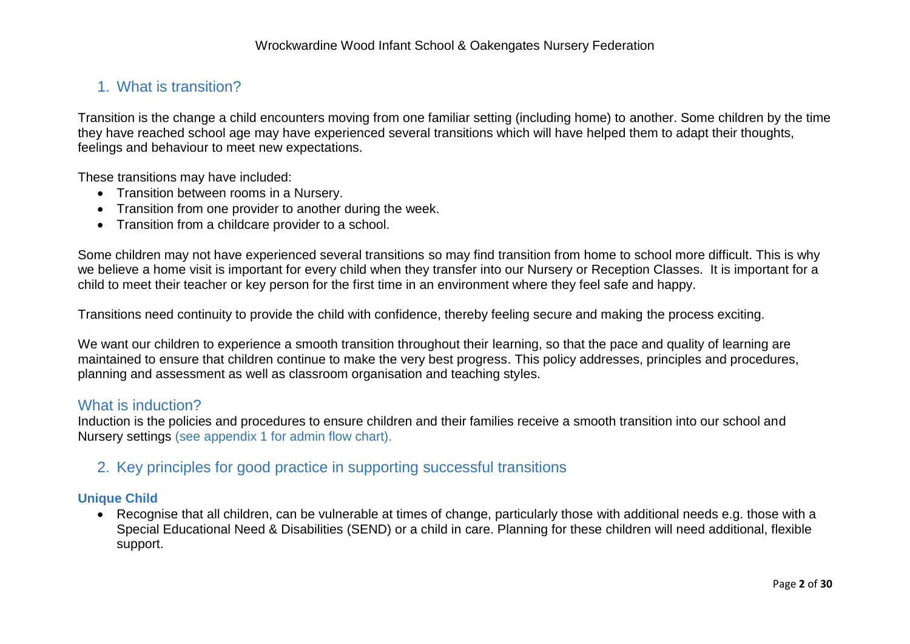# 1. What is transition?

Transition is the change a child encounters moving from one familiar setting (including home) to another. Some children by the time they have reached school age may have experienced several transitions which will have helped them to adapt their thoughts, feelings and behaviour to meet new expectations.

These transitions may have included:

- Transition between rooms in a Nursery.
- Transition from one provider to another during the week.
- Transition from a childcare provider to a school.

Some children may not have experienced several transitions so may find transition from home to school more difficult. This is why we believe a home visit is important for every child when they transfer into our Nursery or Reception Classes. It is important for a child to meet their teacher or key person for the first time in an environment where they feel safe and happy.

Transitions need continuity to provide the child with confidence, thereby feeling secure and making the process exciting.

We want our children to experience a smooth transition throughout their learning, so that the pace and quality of learning are maintained to ensure that children continue to make the very best progress. This policy addresses, principles and procedures, planning and assessment as well as classroom organisation and teaching styles.

# What is induction?

Induction is the policies and procedures to ensure children and their families receive a smooth transition into our school and Nursery settings (see appendix 1 for admin flow chart).

# 2. Key principles for good practice in supporting successful transitions

## **Unique Child**

 Recognise that all children, can be vulnerable at times of change, particularly those with additional needs e.g. those with a Special Educational Need & Disabilities (SEND) or a child in care. Planning for these children will need additional, flexible support.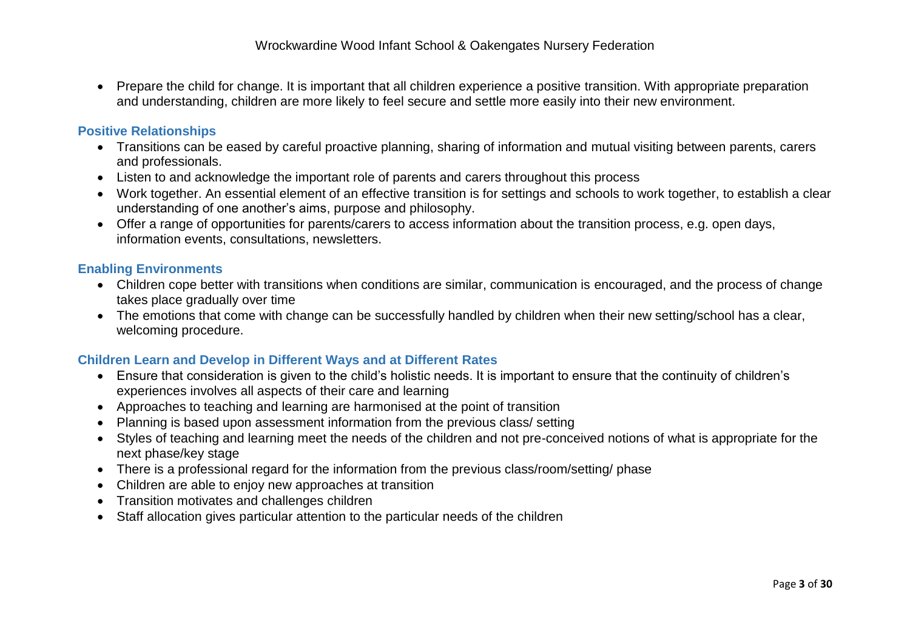Prepare the child for change. It is important that all children experience a positive transition. With appropriate preparation and understanding, children are more likely to feel secure and settle more easily into their new environment.

#### **Positive Relationships**

- Transitions can be eased by careful proactive planning, sharing of information and mutual visiting between parents, carers and professionals.
- Listen to and acknowledge the important role of parents and carers throughout this process
- Work together. An essential element of an effective transition is for settings and schools to work together, to establish a clear understanding of one another's aims, purpose and philosophy.
- Offer a range of opportunities for parents/carers to access information about the transition process, e.g. open days, information events, consultations, newsletters.

#### **Enabling Environments**

- Children cope better with transitions when conditions are similar, communication is encouraged, and the process of change takes place gradually over time
- The emotions that come with change can be successfully handled by children when their new setting/school has a clear, welcoming procedure.

## **Children Learn and Develop in Different Ways and at Different Rates**

- Ensure that consideration is given to the child's holistic needs. It is important to ensure that the continuity of children's experiences involves all aspects of their care and learning
- Approaches to teaching and learning are harmonised at the point of transition
- Planning is based upon assessment information from the previous class/ setting
- Styles of teaching and learning meet the needs of the children and not pre-conceived notions of what is appropriate for the next phase/key stage
- There is a professional regard for the information from the previous class/room/setting/ phase
- Children are able to enjoy new approaches at transition
- Transition motivates and challenges children
- Staff allocation gives particular attention to the particular needs of the children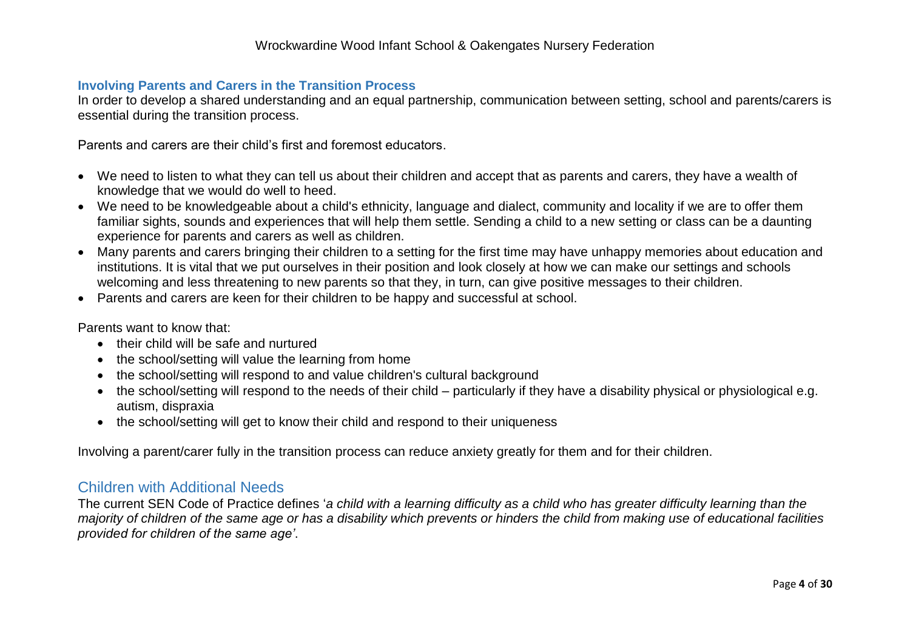#### **Involving Parents and Carers in the Transition Process**

In order to develop a shared understanding and an equal partnership, communication between setting, school and parents/carers is essential during the transition process.

Parents and carers are their child's first and foremost educators.

- We need to listen to what they can tell us about their children and accept that as parents and carers, they have a wealth of knowledge that we would do well to heed.
- We need to be knowledgeable about a child's ethnicity, language and dialect, community and locality if we are to offer them familiar sights, sounds and experiences that will help them settle. Sending a child to a new setting or class can be a daunting experience for parents and carers as well as children.
- Many parents and carers bringing their children to a setting for the first time may have unhappy memories about education and institutions. It is vital that we put ourselves in their position and look closely at how we can make our settings and schools welcoming and less threatening to new parents so that they, in turn, can give positive messages to their children.
- Parents and carers are keen for their children to be happy and successful at school.

Parents want to know that:

- their child will be safe and nurtured
- the school/setting will value the learning from home
- the school/setting will respond to and value children's cultural background
- the school/setting will respond to the needs of their child particularly if they have a disability physical or physiological e.g. autism, dispraxia
- the school/setting will get to know their child and respond to their uniqueness

Involving a parent/carer fully in the transition process can reduce anxiety greatly for them and for their children.

# Children with Additional Needs

The current SEN Code of Practice defines '*a child with a learning difficulty as a child who has greater difficulty learning than the majority of children of the same age or has a disability which prevents or hinders the child from making use of educational facilities provided for children of the same age'*.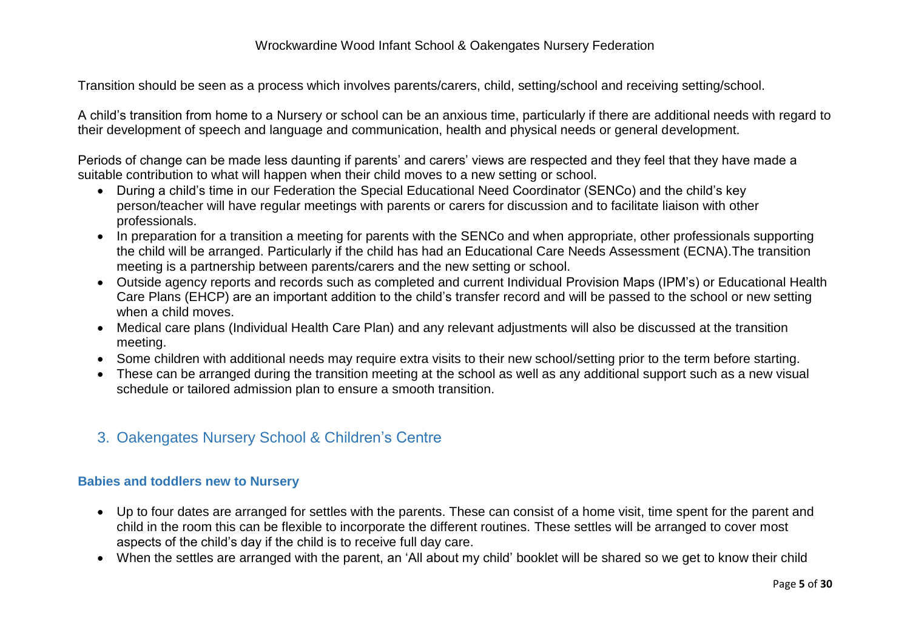Transition should be seen as a process which involves parents/carers, child, setting/school and receiving setting/school.

A child's transition from home to a Nursery or school can be an anxious time, particularly if there are additional needs with regard to their development of speech and language and communication, health and physical needs or general development.

Periods of change can be made less daunting if parents' and carers' views are respected and they feel that they have made a suitable contribution to what will happen when their child moves to a new setting or school.

- During a child's time in our Federation the Special Educational Need Coordinator (SENCo) and the child's key person/teacher will have regular meetings with parents or carers for discussion and to facilitate liaison with other professionals.
- In preparation for a transition a meeting for parents with the SENCo and when appropriate, other professionals supporting the child will be arranged. Particularly if the child has had an Educational Care Needs Assessment (ECNA).The transition meeting is a partnership between parents/carers and the new setting or school.
- Outside agency reports and records such as completed and current Individual Provision Maps (IPM's) or Educational Health Care Plans (EHCP) are an important addition to the child's transfer record and will be passed to the school or new setting when a child moves.
- Medical care plans (Individual Health Care Plan) and any relevant adjustments will also be discussed at the transition meeting.
- Some children with additional needs may require extra visits to their new school/setting prior to the term before starting.
- These can be arranged during the transition meeting at the school as well as any additional support such as a new visual schedule or tailored admission plan to ensure a smooth transition.
- 3. Oakengates Nursery School & Children's Centre

## **Babies and toddlers new to Nursery**

- Up to four dates are arranged for settles with the parents. These can consist of a home visit, time spent for the parent and child in the room this can be flexible to incorporate the different routines. These settles will be arranged to cover most aspects of the child's day if the child is to receive full day care.
- When the settles are arranged with the parent, an 'All about my child' booklet will be shared so we get to know their child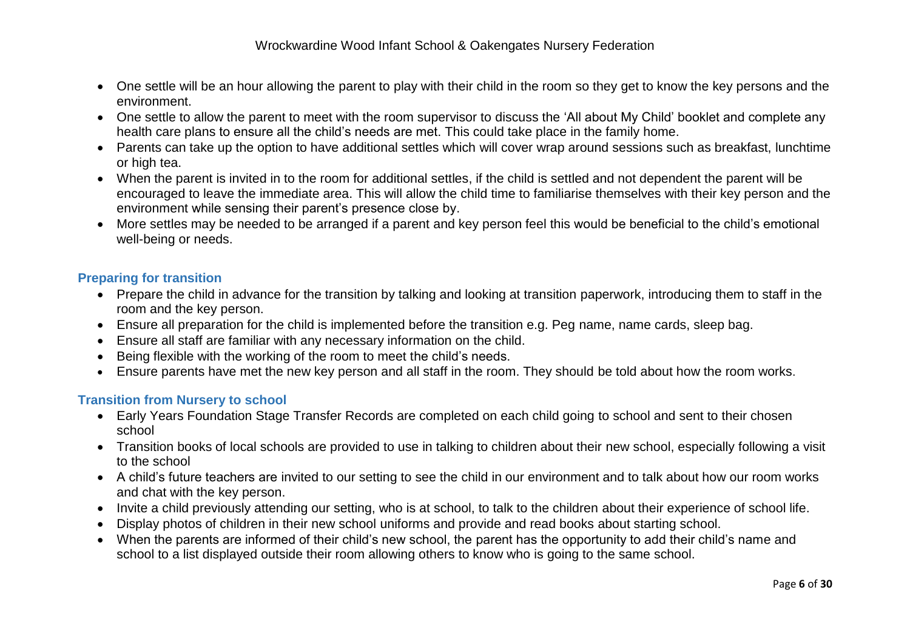- One settle will be an hour allowing the parent to play with their child in the room so they get to know the key persons and the environment.
- One settle to allow the parent to meet with the room supervisor to discuss the 'All about My Child' booklet and complete any health care plans to ensure all the child's needs are met. This could take place in the family home.
- Parents can take up the option to have additional settles which will cover wrap around sessions such as breakfast, lunchtime or high tea.
- When the parent is invited in to the room for additional settles, if the child is settled and not dependent the parent will be encouraged to leave the immediate area. This will allow the child time to familiarise themselves with their key person and the environment while sensing their parent's presence close by.
- More settles may be needed to be arranged if a parent and key person feel this would be beneficial to the child's emotional well-being or needs.

# **Preparing for transition**

- Prepare the child in advance for the transition by talking and looking at transition paperwork, introducing them to staff in the room and the key person.
- Ensure all preparation for the child is implemented before the transition e.g. Peg name, name cards, sleep bag.
- Ensure all staff are familiar with any necessary information on the child.
- Being flexible with the working of the room to meet the child's needs.
- Ensure parents have met the new key person and all staff in the room. They should be told about how the room works.

# **Transition from Nursery to school**

- Early Years Foundation Stage Transfer Records are completed on each child going to school and sent to their chosen school
- Transition books of local schools are provided to use in talking to children about their new school, especially following a visit to the school
- A child's future teachers are invited to our setting to see the child in our environment and to talk about how our room works and chat with the key person.
- Invite a child previously attending our setting, who is at school, to talk to the children about their experience of school life.
- Display photos of children in their new school uniforms and provide and read books about starting school.
- When the parents are informed of their child's new school, the parent has the opportunity to add their child's name and school to a list displayed outside their room allowing others to know who is going to the same school.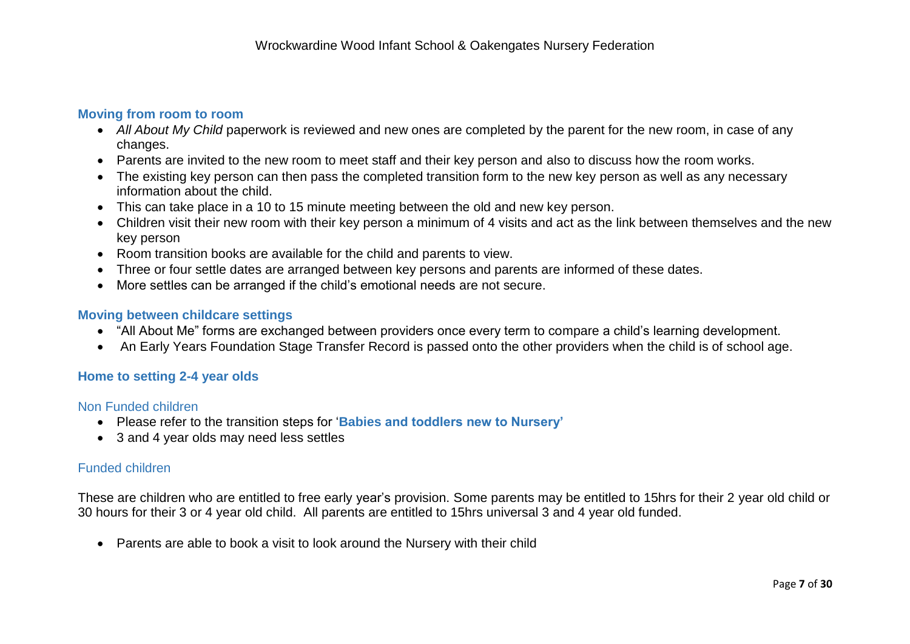#### **Moving from room to room**

- *All About My Child* paperwork is reviewed and new ones are completed by the parent for the new room, in case of any changes.
- Parents are invited to the new room to meet staff and their key person and also to discuss how the room works.
- The existing key person can then pass the completed transition form to the new key person as well as any necessary information about the child.
- This can take place in a 10 to 15 minute meeting between the old and new key person.
- Children visit their new room with their key person a minimum of 4 visits and act as the link between themselves and the new key person
- Room transition books are available for the child and parents to view.
- Three or four settle dates are arranged between key persons and parents are informed of these dates.
- More settles can be arranged if the child's emotional needs are not secure.

#### **Moving between childcare settings**

- "All About Me" forms are exchanged between providers once every term to compare a child's learning development.
- An Early Years Foundation Stage Transfer Record is passed onto the other providers when the child is of school age.

#### **Home to setting 2-4 year olds**

#### Non Funded children

- Please refer to the transition steps for '**Babies and toddlers new to Nursery'**
- 3 and 4 year olds may need less settles

## Funded children

These are children who are entitled to free early year's provision. Some parents may be entitled to 15hrs for their 2 year old child or 30 hours for their 3 or 4 year old child. All parents are entitled to 15hrs universal 3 and 4 year old funded.

• Parents are able to book a visit to look around the Nursery with their child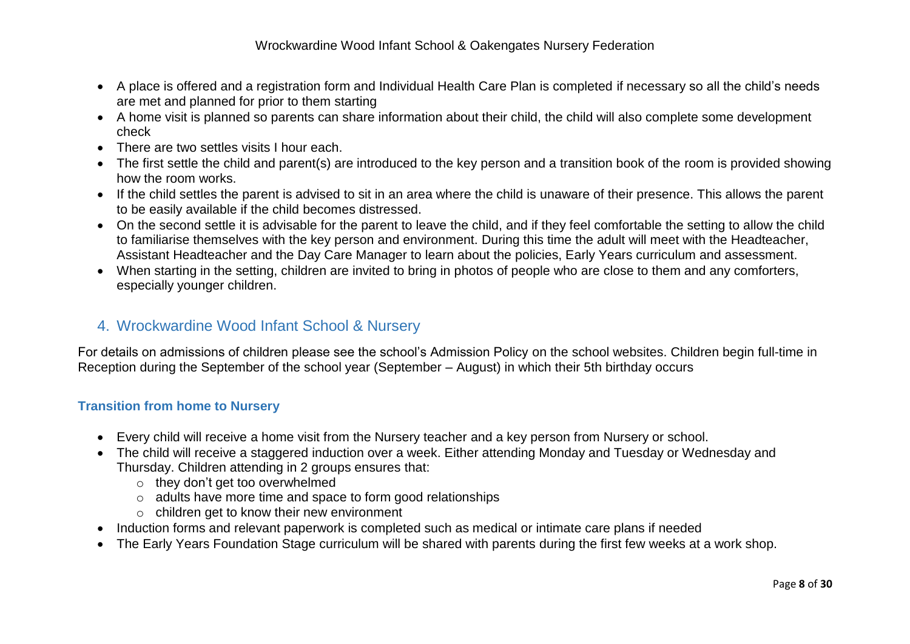- A place is offered and a registration form and Individual Health Care Plan is completed if necessary so all the child's needs are met and planned for prior to them starting
- A home visit is planned so parents can share information about their child, the child will also complete some development check
- There are two settles visits I hour each.
- The first settle the child and parent(s) are introduced to the key person and a transition book of the room is provided showing how the room works.
- If the child settles the parent is advised to sit in an area where the child is unaware of their presence. This allows the parent to be easily available if the child becomes distressed.
- On the second settle it is advisable for the parent to leave the child, and if they feel comfortable the setting to allow the child to familiarise themselves with the key person and environment. During this time the adult will meet with the Headteacher, Assistant Headteacher and the Day Care Manager to learn about the policies, Early Years curriculum and assessment.
- When starting in the setting, children are invited to bring in photos of people who are close to them and any comforters, especially younger children.

# 4. Wrockwardine Wood Infant School & Nursery

For details on admissions of children please see the school's Admission Policy on the school websites. Children begin full-time in Reception during the September of the school year (September – August) in which their 5th birthday occurs

# **Transition from home to Nursery**

- Every child will receive a home visit from the Nursery teacher and a key person from Nursery or school.
- The child will receive a staggered induction over a week. Either attending Monday and Tuesday or Wednesday and Thursday. Children attending in 2 groups ensures that:
	- o they don't get too overwhelmed
	- o adults have more time and space to form good relationships
	- o children get to know their new environment
- Induction forms and relevant paperwork is completed such as medical or intimate care plans if needed
- The Early Years Foundation Stage curriculum will be shared with parents during the first few weeks at a work shop.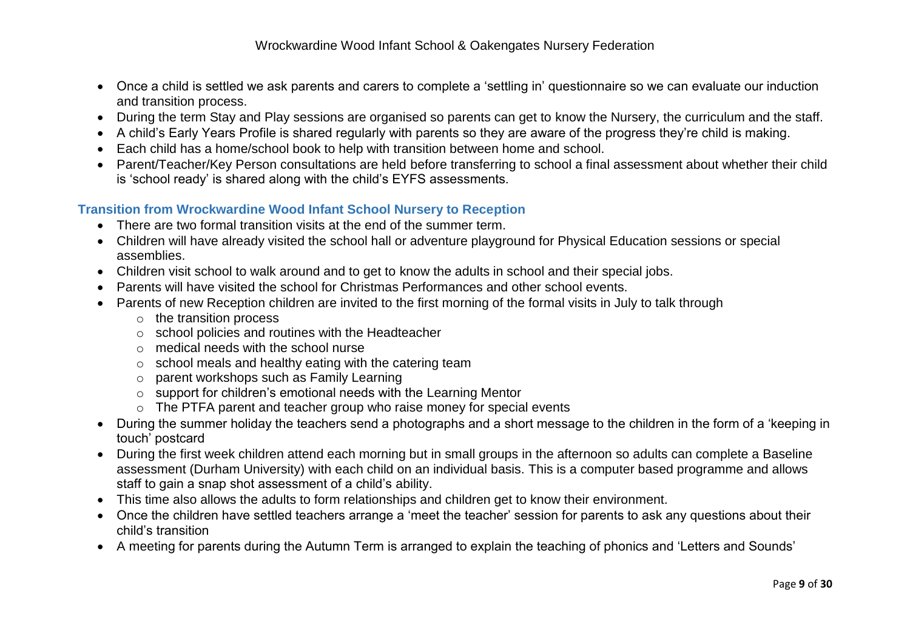- Once a child is settled we ask parents and carers to complete a 'settling in' questionnaire so we can evaluate our induction and transition process.
- During the term Stay and Play sessions are organised so parents can get to know the Nursery, the curriculum and the staff.
- A child's Early Years Profile is shared regularly with parents so they are aware of the progress they're child is making.
- Each child has a home/school book to help with transition between home and school.
- Parent/Teacher/Key Person consultations are held before transferring to school a final assessment about whether their child is 'school ready' is shared along with the child's EYFS assessments.

# **Transition from Wrockwardine Wood Infant School Nursery to Reception**

- There are two formal transition visits at the end of the summer term.
- Children will have already visited the school hall or adventure playground for Physical Education sessions or special assemblies.
- Children visit school to walk around and to get to know the adults in school and their special jobs.
- Parents will have visited the school for Christmas Performances and other school events.
- Parents of new Reception children are invited to the first morning of the formal visits in July to talk through
	- o the transition process
	- o school policies and routines with the Headteacher
	- o medical needs with the school nurse
	- $\circ$  school meals and healthy eating with the catering team
	- o parent workshops such as Family Learning
	- o support for children's emotional needs with the Learning Mentor
	- o The PTFA parent and teacher group who raise money for special events
- During the summer holiday the teachers send a photographs and a short message to the children in the form of a 'keeping in touch' postcard
- During the first week children attend each morning but in small groups in the afternoon so adults can complete a Baseline assessment (Durham University) with each child on an individual basis. This is a computer based programme and allows staff to gain a snap shot assessment of a child's ability.
- This time also allows the adults to form relationships and children get to know their environment.
- Once the children have settled teachers arrange a 'meet the teacher' session for parents to ask any questions about their child's transition
- A meeting for parents during the Autumn Term is arranged to explain the teaching of phonics and 'Letters and Sounds'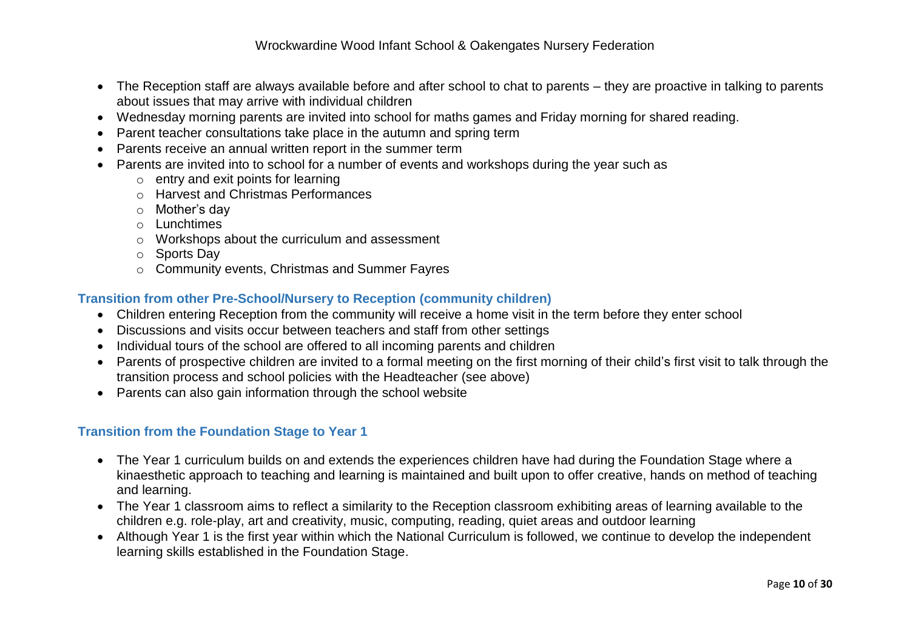- The Reception staff are always available before and after school to chat to parents they are proactive in talking to parents about issues that may arrive with individual children
- Wednesday morning parents are invited into school for maths games and Friday morning for shared reading.
- Parent teacher consultations take place in the autumn and spring term
- Parents receive an annual written report in the summer term
- Parents are invited into to school for a number of events and workshops during the year such as
	- $\circ$  entry and exit points for learning
	- o Harvest and Christmas Performances
	- o Mother's day
	- o Lunchtimes
	- o Workshops about the curriculum and assessment
	- o Sports Day
	- o Community events, Christmas and Summer Fayres

# **Transition from other Pre-School/Nursery to Reception (community children)**

- Children entering Reception from the community will receive a home visit in the term before they enter school
- Discussions and visits occur between teachers and staff from other settings
- Individual tours of the school are offered to all incoming parents and children
- Parents of prospective children are invited to a formal meeting on the first morning of their child's first visit to talk through the transition process and school policies with the Headteacher (see above)
- Parents can also gain information through the school website

## **Transition from the Foundation Stage to Year 1**

- The Year 1 curriculum builds on and extends the experiences children have had during the Foundation Stage where a kinaesthetic approach to teaching and learning is maintained and built upon to offer creative, hands on method of teaching and learning.
- The Year 1 classroom aims to reflect a similarity to the Reception classroom exhibiting areas of learning available to the children e.g. role-play, art and creativity, music, computing, reading, quiet areas and outdoor learning
- Although Year 1 is the first year within which the National Curriculum is followed, we continue to develop the independent learning skills established in the Foundation Stage.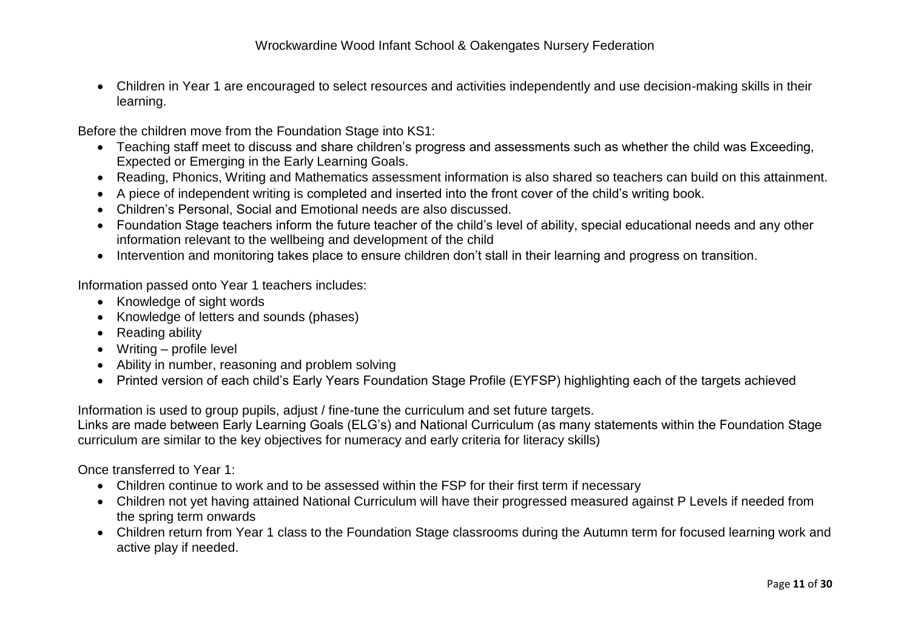Children in Year 1 are encouraged to select resources and activities independently and use decision-making skills in their learning.

Before the children move from the Foundation Stage into KS1:

- Teaching staff meet to discuss and share children's progress and assessments such as whether the child was Exceeding, Expected or Emerging in the Early Learning Goals.
- Reading, Phonics, Writing and Mathematics assessment information is also shared so teachers can build on this attainment.
- A piece of independent writing is completed and inserted into the front cover of the child's writing book.
- Children's Personal, Social and Emotional needs are also discussed.
- Foundation Stage teachers inform the future teacher of the child's level of ability, special educational needs and any other information relevant to the wellbeing and development of the child
- Intervention and monitoring takes place to ensure children don't stall in their learning and progress on transition.

Information passed onto Year 1 teachers includes:

- Knowledge of sight words
- Knowledge of letters and sounds (phases)
- Reading ability
- Writing profile level
- Ability in number, reasoning and problem solving
- Printed version of each child's Early Years Foundation Stage Profile (EYFSP) highlighting each of the targets achieved

Information is used to group pupils, adjust / fine-tune the curriculum and set future targets.

Links are made between Early Learning Goals (ELG's) and National Curriculum (as many statements within the Foundation Stage curriculum are similar to the key objectives for numeracy and early criteria for literacy skills)

Once transferred to Year 1:

- Children continue to work and to be assessed within the FSP for their first term if necessary
- Children not yet having attained National Curriculum will have their progressed measured against P Levels if needed from the spring term onwards
- Children return from Year 1 class to the Foundation Stage classrooms during the Autumn term for focused learning work and active play if needed.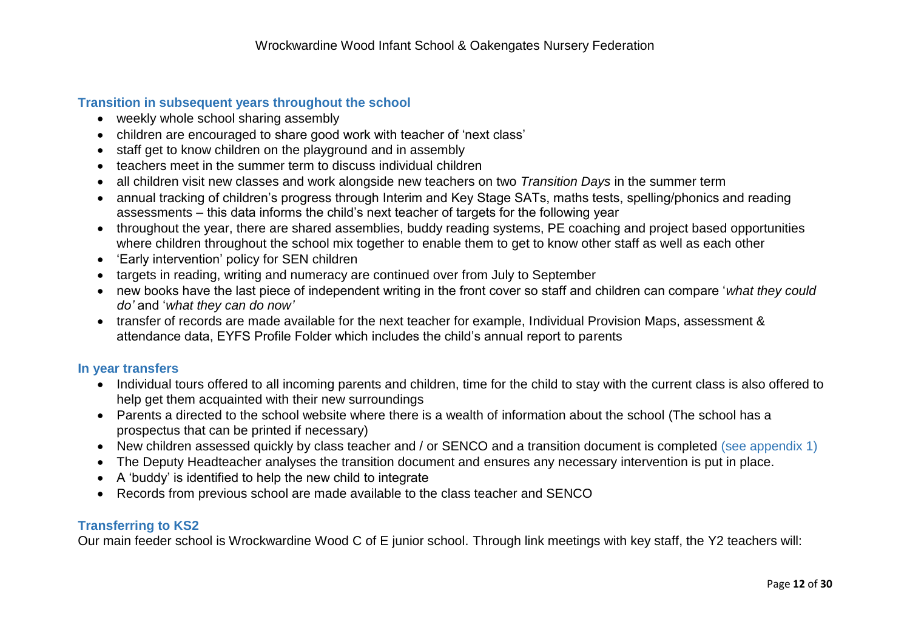# **Transition in subsequent years throughout the school**

- weekly whole school sharing assembly
- children are encouraged to share good work with teacher of 'next class'
- staff get to know children on the playground and in assembly
- teachers meet in the summer term to discuss individual children
- all children visit new classes and work alongside new teachers on two *Transition Days* in the summer term
- annual tracking of children's progress through Interim and Key Stage SATs, maths tests, spelling/phonics and reading assessments – this data informs the child's next teacher of targets for the following year
- throughout the year, there are shared assemblies, buddy reading systems, PE coaching and project based opportunities where children throughout the school mix together to enable them to get to know other staff as well as each other
- 'Early intervention' policy for SEN children
- targets in reading, writing and numeracy are continued over from July to September
- new books have the last piece of independent writing in the front cover so staff and children can compare '*what they could do'* and '*what they can do now'*
- transfer of records are made available for the next teacher for example, Individual Provision Maps, assessment & attendance data, EYFS Profile Folder which includes the child's annual report to parents

## **In year transfers**

- Individual tours offered to all incoming parents and children, time for the child to stay with the current class is also offered to help get them acquainted with their new surroundings
- Parents a directed to the school website where there is a wealth of information about the school (The school has a prospectus that can be printed if necessary)
- New children assessed quickly by class teacher and / or SENCO and a transition document is completed (see appendix 1)
- The Deputy Headteacher analyses the transition document and ensures any necessary intervention is put in place.
- A 'buddy' is identified to help the new child to integrate
- Records from previous school are made available to the class teacher and SENCO

# **Transferring to KS2**

Our main feeder school is Wrockwardine Wood C of E junior school. Through link meetings with key staff, the Y2 teachers will: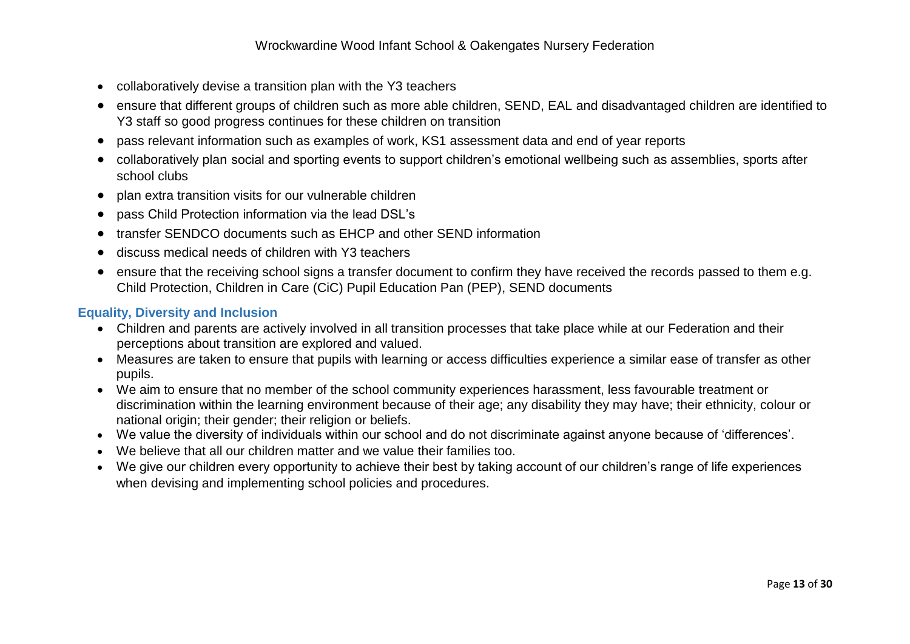- collaboratively devise a transition plan with the Y3 teachers
- ensure that different groups of children such as more able children, SEND, EAL and disadvantaged children are identified to Y3 staff so good progress continues for these children on transition
- pass relevant information such as examples of work, KS1 assessment data and end of year reports
- collaboratively plan social and sporting events to support children's emotional wellbeing such as assemblies, sports after school clubs
- plan extra transition visits for our vulnerable children
- pass Child Protection information via the lead DSL's
- transfer SENDCO documents such as EHCP and other SEND information
- discuss medical needs of children with Y3 teachers
- ensure that the receiving school signs a transfer document to confirm they have received the records passed to them e.g. Child Protection, Children in Care (CiC) Pupil Education Pan (PEP), SEND documents

## **Equality, Diversity and Inclusion**

- Children and parents are actively involved in all transition processes that take place while at our Federation and their perceptions about transition are explored and valued.
- Measures are taken to ensure that pupils with learning or access difficulties experience a similar ease of transfer as other pupils.
- We aim to ensure that no member of the school community experiences harassment, less favourable treatment or discrimination within the learning environment because of their age; any disability they may have; their ethnicity, colour or national origin; their gender; their religion or beliefs.
- We value the diversity of individuals within our school and do not discriminate against anyone because of 'differences'.
- We believe that all our children matter and we value their families too.
- We give our children every opportunity to achieve their best by taking account of our children's range of life experiences when devising and implementing school policies and procedures.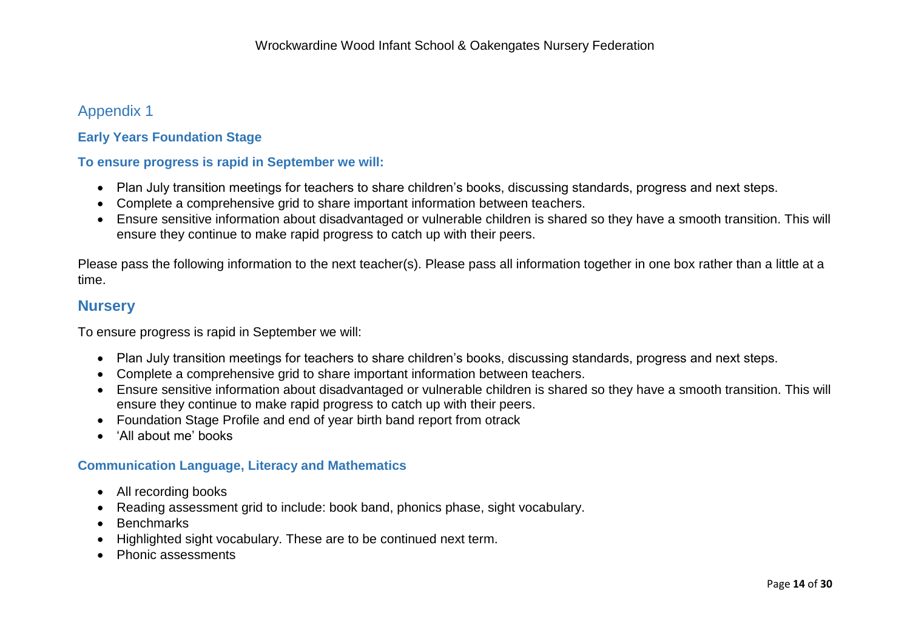# Appendix 1

# **Early Years Foundation Stage**

#### **To ensure progress is rapid in September we will:**

- Plan July transition meetings for teachers to share children's books, discussing standards, progress and next steps.
- Complete a comprehensive grid to share important information between teachers.
- Ensure sensitive information about disadvantaged or vulnerable children is shared so they have a smooth transition. This will ensure they continue to make rapid progress to catch up with their peers.

Please pass the following information to the next teacher(s). Please pass all information together in one box rather than a little at a time.

# **Nursery**

To ensure progress is rapid in September we will:

- Plan July transition meetings for teachers to share children's books, discussing standards, progress and next steps.
- Complete a comprehensive grid to share important information between teachers.
- Ensure sensitive information about disadvantaged or vulnerable children is shared so they have a smooth transition. This will ensure they continue to make rapid progress to catch up with their peers.
- Foundation Stage Profile and end of year birth band report from otrack
- 'All about me' books

## **Communication Language, Literacy and Mathematics**

- All recording books
- Reading assessment grid to include: book band, phonics phase, sight vocabulary.
- Benchmarks
- Highlighted sight vocabulary. These are to be continued next term.
- Phonic assessments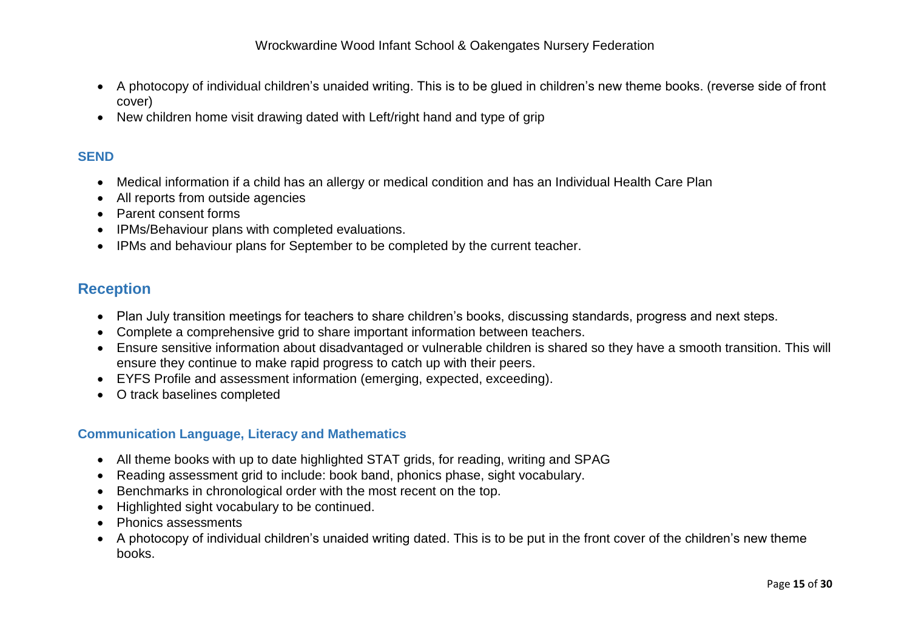- A photocopy of individual children's unaided writing. This is to be glued in children's new theme books. (reverse side of front cover)
- New children home visit drawing dated with Left/right hand and type of grip

# **SEND**

- Medical information if a child has an allergy or medical condition and has an Individual Health Care Plan
- All reports from outside agencies
- Parent consent forms
- IPMs/Behaviour plans with completed evaluations.
- IPMs and behaviour plans for September to be completed by the current teacher.

# **Reception**

- Plan July transition meetings for teachers to share children's books, discussing standards, progress and next steps.
- Complete a comprehensive grid to share important information between teachers.
- Ensure sensitive information about disadvantaged or vulnerable children is shared so they have a smooth transition. This will ensure they continue to make rapid progress to catch up with their peers.
- EYFS Profile and assessment information (emerging, expected, exceeding).
- O track baselines completed

# **Communication Language, Literacy and Mathematics**

- All theme books with up to date highlighted STAT grids, for reading, writing and SPAG
- Reading assessment grid to include: book band, phonics phase, sight vocabulary.
- Benchmarks in chronological order with the most recent on the top.
- Highlighted sight vocabulary to be continued.
- Phonics assessments
- A photocopy of individual children's unaided writing dated. This is to be put in the front cover of the children's new theme books.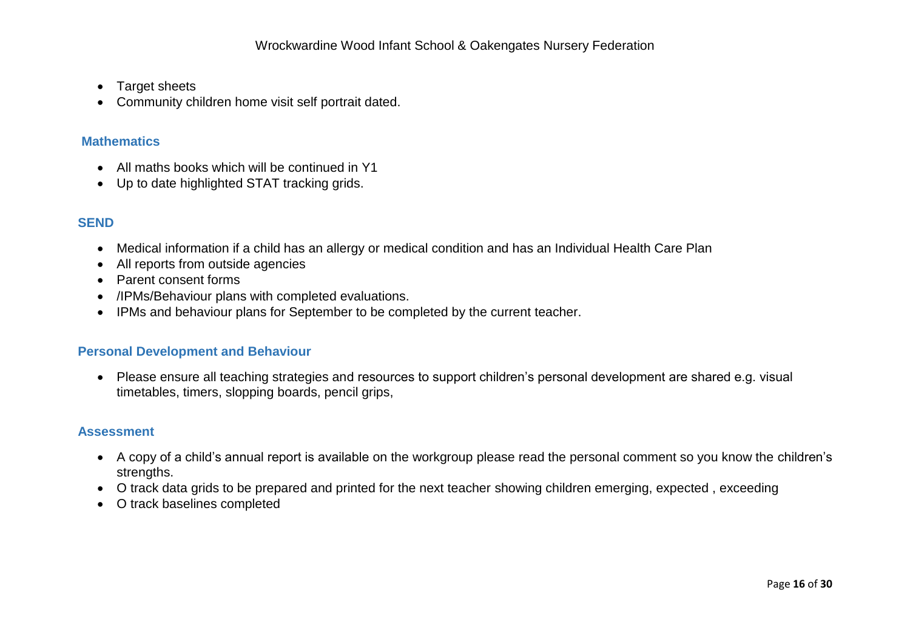- Target sheets
- Community children home visit self portrait dated.

## **Mathematics**

- All maths books which will be continued in Y1
- Up to date highlighted STAT tracking grids.

# **SEND**

- Medical information if a child has an allergy or medical condition and has an Individual Health Care Plan
- All reports from outside agencies
- Parent consent forms
- /IPMs/Behaviour plans with completed evaluations.
- IPMs and behaviour plans for September to be completed by the current teacher.

#### **Personal Development and Behaviour**

 Please ensure all teaching strategies and resources to support children's personal development are shared e.g. visual timetables, timers, slopping boards, pencil grips,

#### **Assessment**

- A copy of a child's annual report is available on the workgroup please read the personal comment so you know the children's strengths.
- O track data grids to be prepared and printed for the next teacher showing children emerging, expected , exceeding
- O track baselines completed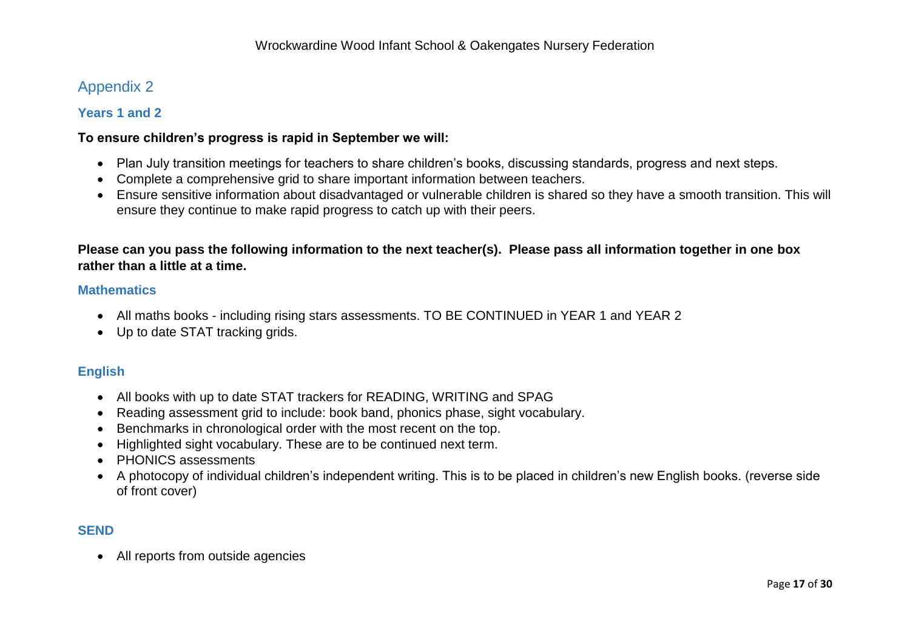# Appendix 2

## **Years 1 and 2**

#### **To ensure children's progress is rapid in September we will:**

- Plan July transition meetings for teachers to share children's books, discussing standards, progress and next steps.
- Complete a comprehensive grid to share important information between teachers.
- Ensure sensitive information about disadvantaged or vulnerable children is shared so they have a smooth transition. This will ensure they continue to make rapid progress to catch up with their peers.

# **Please can you pass the following information to the next teacher(s). Please pass all information together in one box rather than a little at a time.**

#### **Mathematics**

- All maths books including rising stars assessments. TO BE CONTINUED in YEAR 1 and YEAR 2
- Up to date STAT tracking grids.

## **English**

- All books with up to date STAT trackers for READING, WRITING and SPAG
- Reading assessment grid to include: book band, phonics phase, sight vocabulary.
- Benchmarks in chronological order with the most recent on the top.
- Highlighted sight vocabulary. These are to be continued next term.
- PHONICS assessments
- A photocopy of individual children's independent writing. This is to be placed in children's new English books. (reverse side of front cover)

## **SEND**

All reports from outside agencies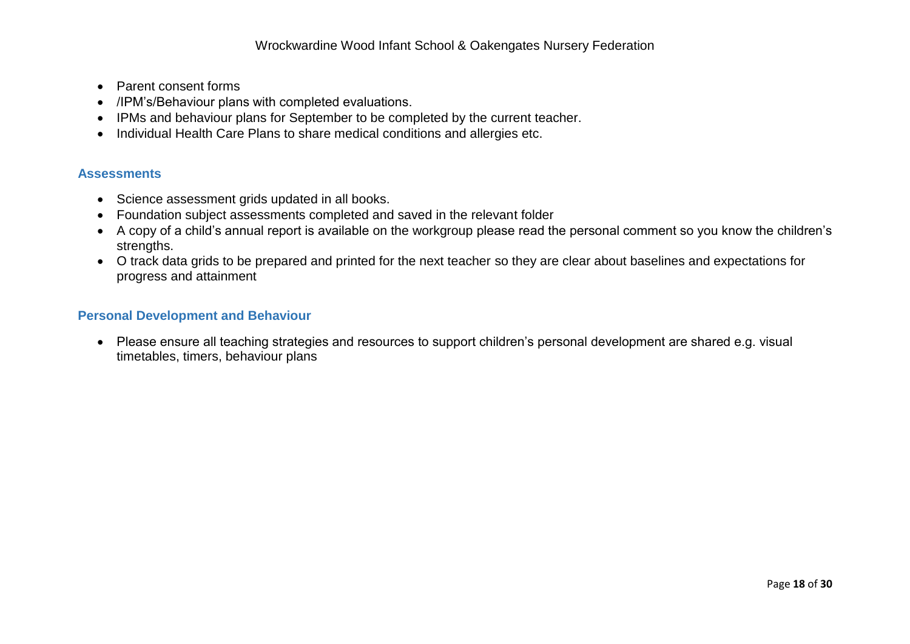- Parent consent forms
- /IPM's/Behaviour plans with completed evaluations.
- IPMs and behaviour plans for September to be completed by the current teacher.
- Individual Health Care Plans to share medical conditions and allergies etc.

#### **Assessments**

- Science assessment grids updated in all books.
- Foundation subject assessments completed and saved in the relevant folder
- A copy of a child's annual report is available on the workgroup please read the personal comment so you know the children's strengths.
- O track data grids to be prepared and printed for the next teacher so they are clear about baselines and expectations for progress and attainment

#### **Personal Development and Behaviour**

 Please ensure all teaching strategies and resources to support children's personal development are shared e.g. visual timetables, timers, behaviour plans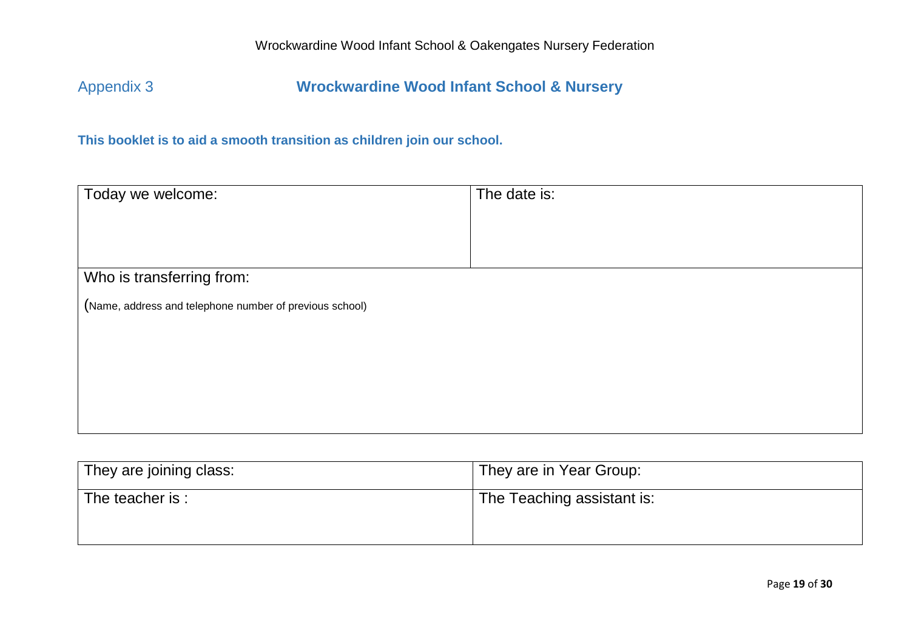Appendix 3 **Wrockwardine Wood Infant School & Nursery**

**This booklet is to aid a smooth transition as children join our school.**

| Today we welcome:                                       | The date is: |
|---------------------------------------------------------|--------------|
|                                                         |              |
|                                                         |              |
| Who is transferring from:                               |              |
| (Name, address and telephone number of previous school) |              |
|                                                         |              |
|                                                         |              |
|                                                         |              |
|                                                         |              |

| They are joining class: | They are in Year Group:    |
|-------------------------|----------------------------|
| The teacher is :        | The Teaching assistant is: |
|                         |                            |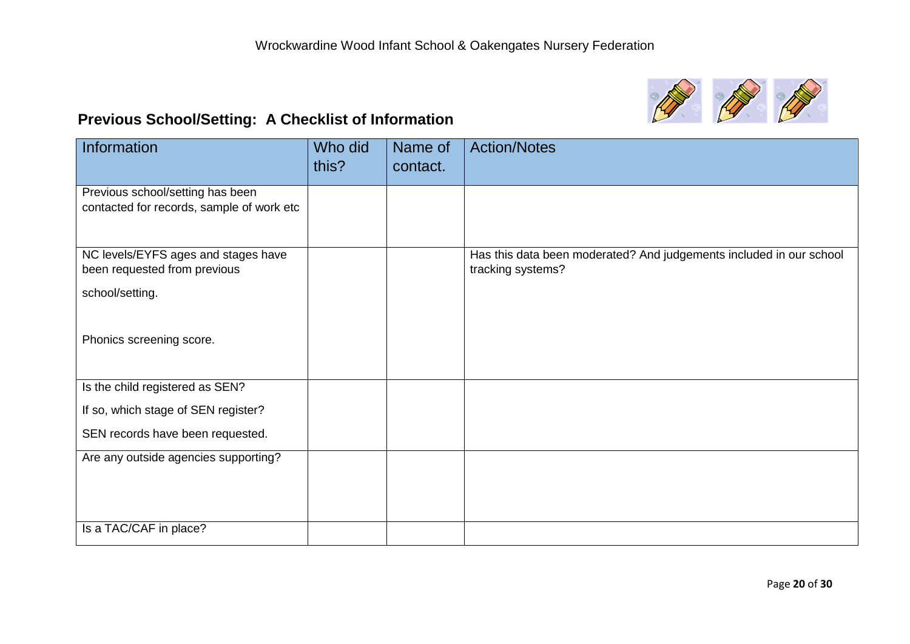

# **Previous School/Setting: A Checklist of Information**

| Information                                                                   | Who did<br>this? | Name of<br>contact. | <b>Action/Notes</b>                                                                      |
|-------------------------------------------------------------------------------|------------------|---------------------|------------------------------------------------------------------------------------------|
|                                                                               |                  |                     |                                                                                          |
| Previous school/setting has been<br>contacted for records, sample of work etc |                  |                     |                                                                                          |
|                                                                               |                  |                     |                                                                                          |
| NC levels/EYFS ages and stages have<br>been requested from previous           |                  |                     | Has this data been moderated? And judgements included in our school<br>tracking systems? |
| school/setting.                                                               |                  |                     |                                                                                          |
|                                                                               |                  |                     |                                                                                          |
| Phonics screening score.                                                      |                  |                     |                                                                                          |
| Is the child registered as SEN?                                               |                  |                     |                                                                                          |
| If so, which stage of SEN register?                                           |                  |                     |                                                                                          |
| SEN records have been requested.                                              |                  |                     |                                                                                          |
| Are any outside agencies supporting?                                          |                  |                     |                                                                                          |
|                                                                               |                  |                     |                                                                                          |
|                                                                               |                  |                     |                                                                                          |
|                                                                               |                  |                     |                                                                                          |
| Is a TAC/CAF in place?                                                        |                  |                     |                                                                                          |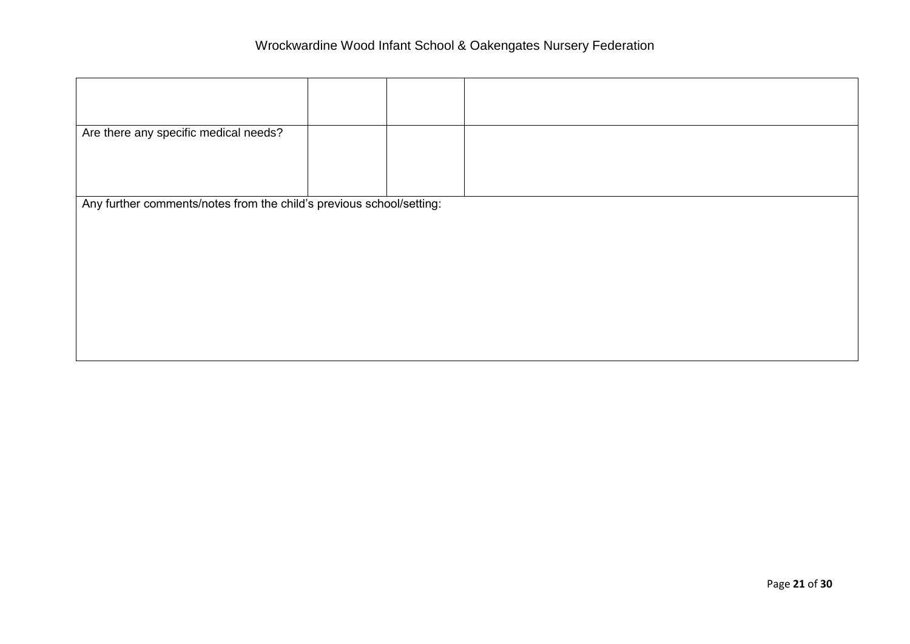| Are there any specific medical needs?                                |  |  |  |
|----------------------------------------------------------------------|--|--|--|
|                                                                      |  |  |  |
| Any further comments/notes from the child's previous school/setting: |  |  |  |
|                                                                      |  |  |  |
|                                                                      |  |  |  |
|                                                                      |  |  |  |
|                                                                      |  |  |  |
|                                                                      |  |  |  |
|                                                                      |  |  |  |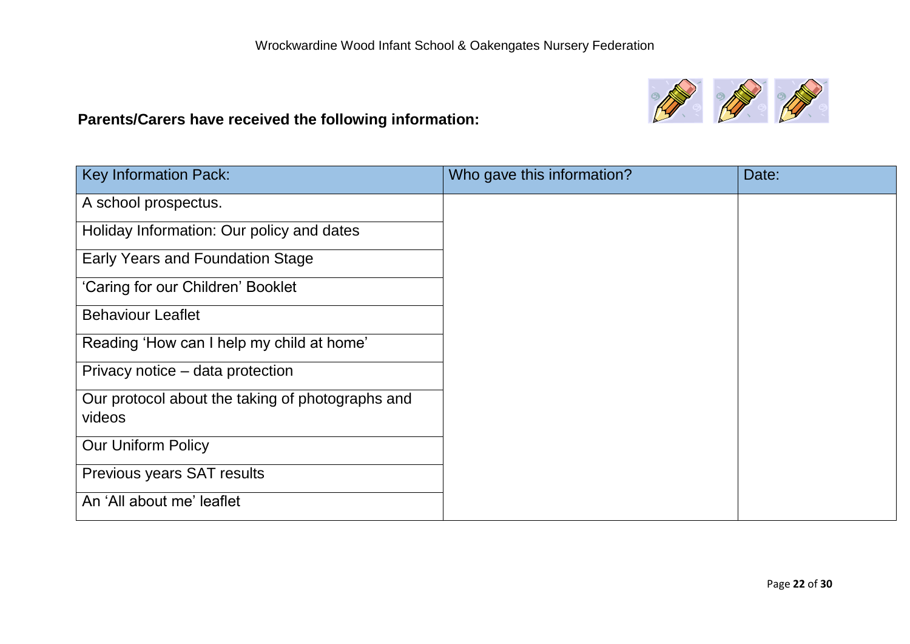# **Parents/Carers have received the following information:**



| <b>Key Information Pack:</b>                     | Who gave this information? | Date: |
|--------------------------------------------------|----------------------------|-------|
| A school prospectus.                             |                            |       |
| Holiday Information: Our policy and dates        |                            |       |
| <b>Early Years and Foundation Stage</b>          |                            |       |
| 'Caring for our Children' Booklet                |                            |       |
| <b>Behaviour Leaflet</b>                         |                            |       |
| Reading 'How can I help my child at home'        |                            |       |
| Privacy notice – data protection                 |                            |       |
| Our protocol about the taking of photographs and |                            |       |
| videos                                           |                            |       |
| <b>Our Uniform Policy</b>                        |                            |       |
| Previous years SAT results                       |                            |       |
| An 'All about me' leaflet                        |                            |       |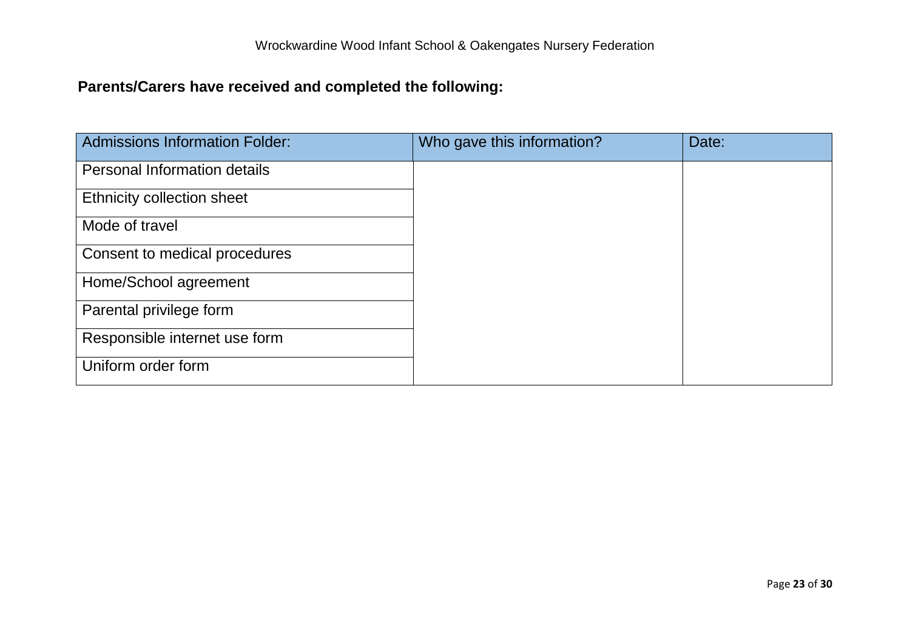# **Parents/Carers have received and completed the following:**

| <b>Admissions Information Folder:</b> | Who gave this information? | Date: |
|---------------------------------------|----------------------------|-------|
| Personal Information details          |                            |       |
| <b>Ethnicity collection sheet</b>     |                            |       |
| Mode of travel                        |                            |       |
| Consent to medical procedures         |                            |       |
| Home/School agreement                 |                            |       |
| Parental privilege form               |                            |       |
| Responsible internet use form         |                            |       |
| Uniform order form                    |                            |       |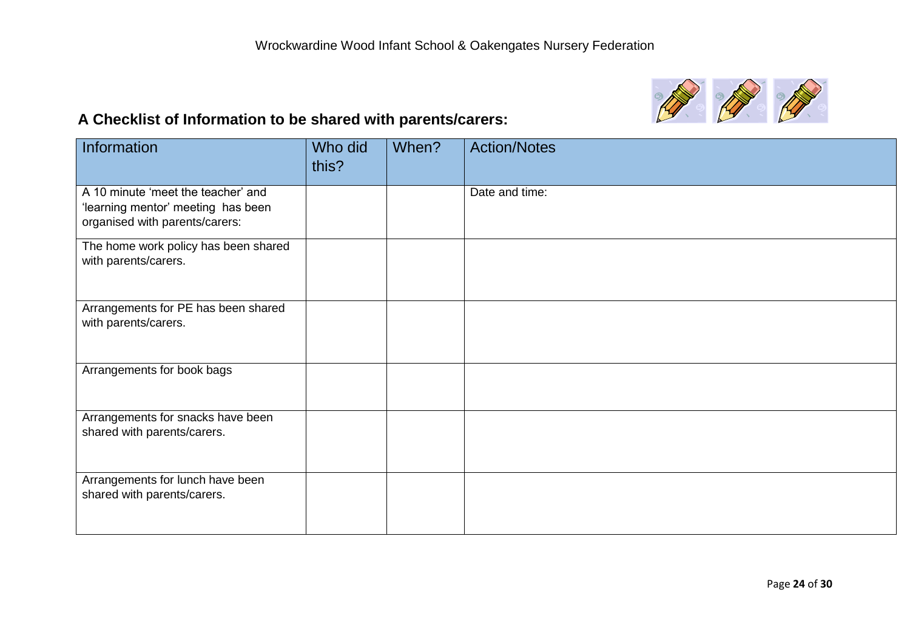

# **A Checklist of Information to be shared with parents/carers:**

| Information                                                                                                | Who did<br>this? | When? | <b>Action/Notes</b> |
|------------------------------------------------------------------------------------------------------------|------------------|-------|---------------------|
| A 10 minute 'meet the teacher' and<br>'learning mentor' meeting has been<br>organised with parents/carers: |                  |       | Date and time:      |
| The home work policy has been shared<br>with parents/carers.                                               |                  |       |                     |
| Arrangements for PE has been shared<br>with parents/carers.                                                |                  |       |                     |
| Arrangements for book bags                                                                                 |                  |       |                     |
| Arrangements for snacks have been<br>shared with parents/carers.                                           |                  |       |                     |
| Arrangements for lunch have been<br>shared with parents/carers.                                            |                  |       |                     |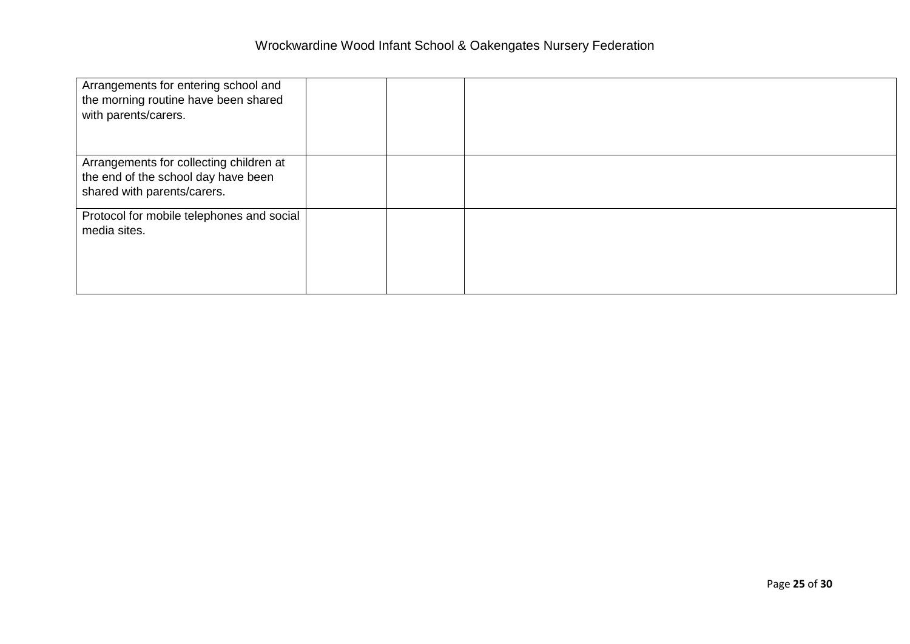| Arrangements for entering school and<br>the morning routine have been shared<br>with parents/carers.          |  |  |
|---------------------------------------------------------------------------------------------------------------|--|--|
| Arrangements for collecting children at<br>the end of the school day have been<br>shared with parents/carers. |  |  |
| Protocol for mobile telephones and social<br>media sites.                                                     |  |  |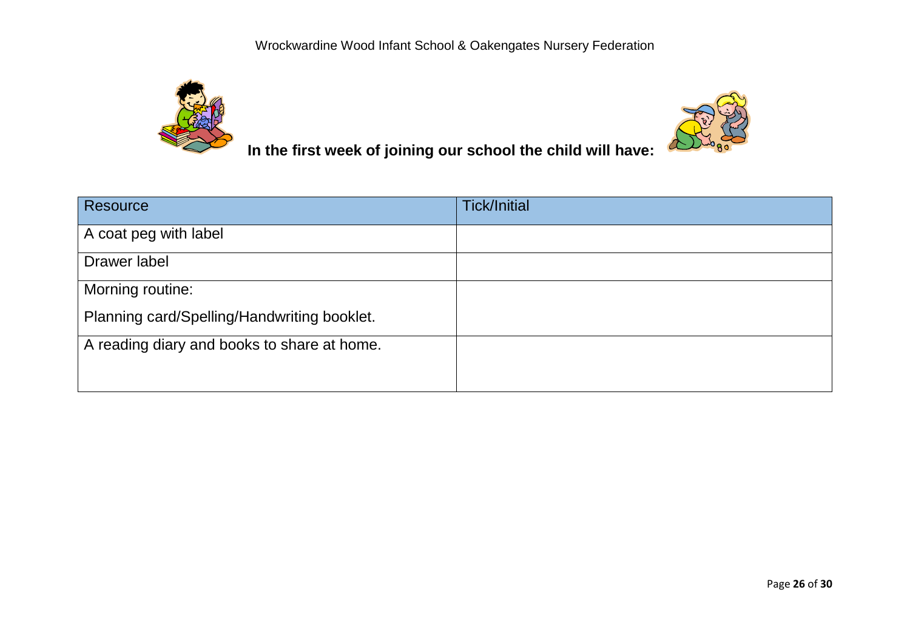



 **In the first week of joining our school the child will have:** 

| Resource                                    | <b>Tick/Initial</b> |
|---------------------------------------------|---------------------|
| A coat peg with label                       |                     |
| Drawer label                                |                     |
| Morning routine:                            |                     |
| Planning card/Spelling/Handwriting booklet. |                     |
| A reading diary and books to share at home. |                     |
|                                             |                     |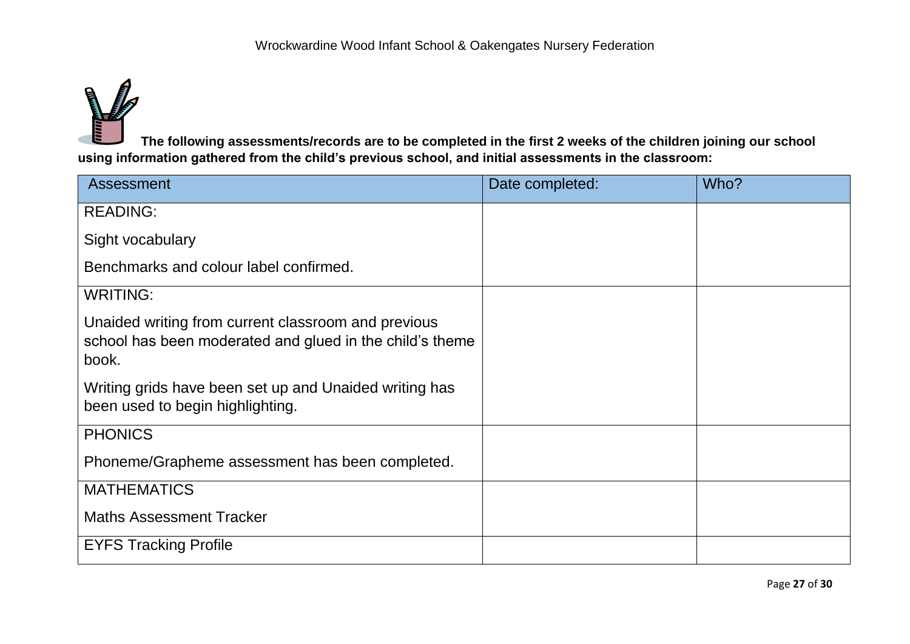

**The following assessments/records are to be completed in the first 2 weeks of the children joining our school using information gathered from the child's previous school, and initial assessments in the classroom:**

| <b>Assessment</b>                                                                                                        | Date completed: | Who? |
|--------------------------------------------------------------------------------------------------------------------------|-----------------|------|
| <b>READING:</b>                                                                                                          |                 |      |
| Sight vocabulary                                                                                                         |                 |      |
| Benchmarks and colour label confirmed.                                                                                   |                 |      |
| <b>WRITING:</b>                                                                                                          |                 |      |
| Unaided writing from current classroom and previous<br>school has been moderated and glued in the child's theme<br>book. |                 |      |
| Writing grids have been set up and Unaided writing has<br>been used to begin highlighting.                               |                 |      |
| <b>PHONICS</b>                                                                                                           |                 |      |
| Phoneme/Grapheme assessment has been completed.                                                                          |                 |      |
| <b>MATHEMATICS</b>                                                                                                       |                 |      |
| <b>Maths Assessment Tracker</b>                                                                                          |                 |      |
| <b>EYFS Tracking Profile</b>                                                                                             |                 |      |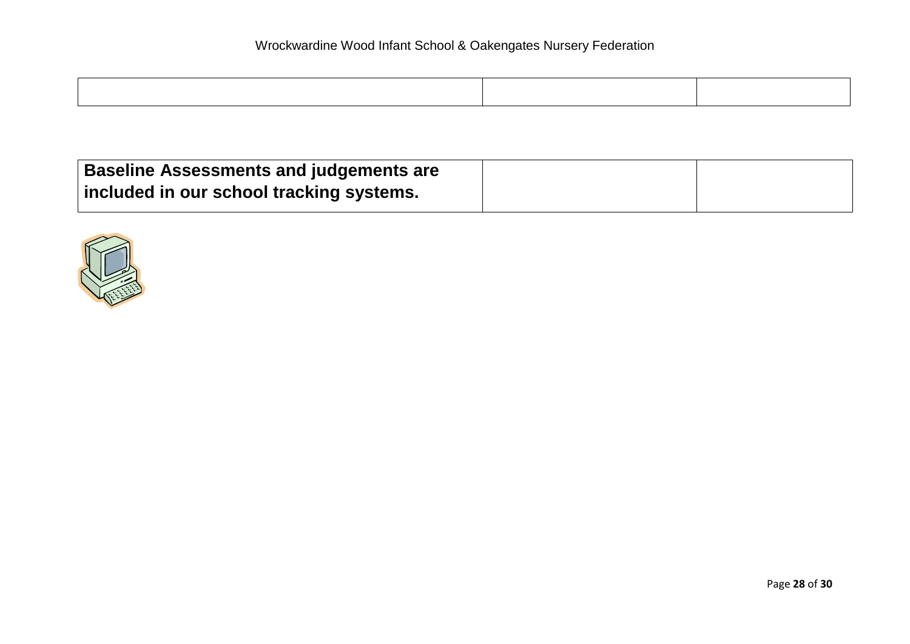| <b>Baseline Assessments and judgements are</b> |  |
|------------------------------------------------|--|
| included in our school tracking systems.       |  |

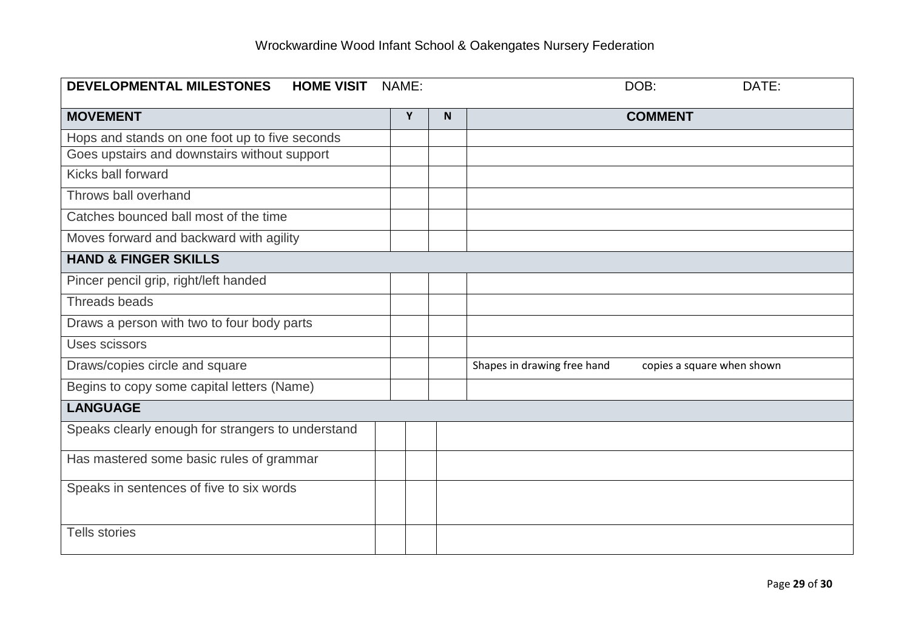| <b>DEVELOPMENTAL MILESTONES</b><br><b>HOME VISIT</b> | NAME: |   | DOB:<br>DATE:                                             |
|------------------------------------------------------|-------|---|-----------------------------------------------------------|
| <b>MOVEMENT</b>                                      | Y     | N | <b>COMMENT</b>                                            |
| Hops and stands on one foot up to five seconds       |       |   |                                                           |
| Goes upstairs and downstairs without support         |       |   |                                                           |
| Kicks ball forward                                   |       |   |                                                           |
| Throws ball overhand                                 |       |   |                                                           |
| Catches bounced ball most of the time                |       |   |                                                           |
| Moves forward and backward with agility              |       |   |                                                           |
| <b>HAND &amp; FINGER SKILLS</b>                      |       |   |                                                           |
| Pincer pencil grip, right/left handed                |       |   |                                                           |
| Threads beads                                        |       |   |                                                           |
| Draws a person with two to four body parts           |       |   |                                                           |
| Uses scissors                                        |       |   |                                                           |
| Draws/copies circle and square                       |       |   | Shapes in drawing free hand<br>copies a square when shown |
| Begins to copy some capital letters (Name)           |       |   |                                                           |
| <b>LANGUAGE</b>                                      |       |   |                                                           |
| Speaks clearly enough for strangers to understand    |       |   |                                                           |
| Has mastered some basic rules of grammar             |       |   |                                                           |
| Speaks in sentences of five to six words             |       |   |                                                           |
| <b>Tells stories</b>                                 |       |   |                                                           |